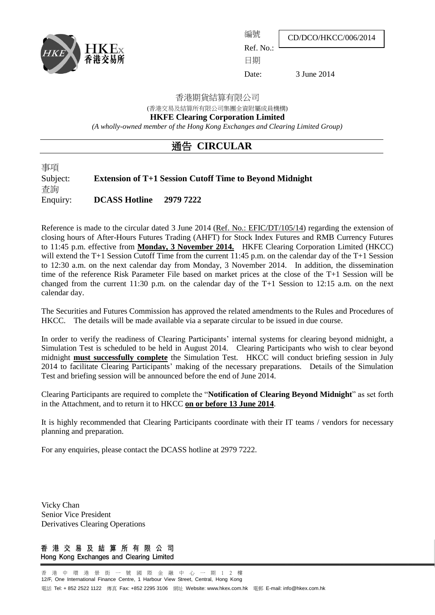

編號

CD/DCO/HKCC/006/2014

 $Ref$  No<sup>.</sup> 日期

Date: 3 June 2014

#### 香港期貨結算有限公司

(香港交易及結算所有限公司集團全資附屬成員機構)

**HKFE Clearing Corporation Limited**

*(A wholly-owned member of the Hong Kong Exchanges and Clearing Limited Group)*

## 通告 **CIRCULAR**

事項 Subject: **Extension of T+1 Session Cutoff Time to Beyond Midnight** 查詢 Enquiry: **DCASS Hotline 2979 7222**

Reference is made to the circular dated 3 June 2014 (Ref. No.: EFIC/DT/105/14) regarding the extension of closing hours of After-Hours Futures Trading (AHFT) for Stock Index Futures and RMB Currency Futures to 11:45 p.m. effective from **Monday, 3 November 2014.** HKFE Clearing Corporation Limited (HKCC) will extend the T+1 Session Cutoff Time from the current 11:45 p.m. on the calendar day of the T+1 Session to 12:30 a.m. on the next calendar day from Monday, 3 November 2014. In addition, the dissemination time of the reference Risk Parameter File based on market prices at the close of the T+1 Session will be changed from the current 11:30 p.m. on the calendar day of the T+1 Session to 12:15 a.m. on the next calendar day.

The Securities and Futures Commission has approved the related amendments to the Rules and Procedures of HKCC. The details will be made available via a separate circular to be issued in due course.

In order to verify the readiness of Clearing Participants' internal systems for clearing beyond midnight, a Simulation Test is scheduled to be held in August 2014. Clearing Participants who wish to clear beyond midnight **must successfully complete** the Simulation Test. HKCC will conduct briefing session in July 2014 to facilitate Clearing Participants' making of the necessary preparations. Details of the Simulation Test and briefing session will be announced before the end of June 2014.

Clearing Participants are required to complete the "**Notification of Clearing Beyond Midnight**" as set forth in the Attachment, and to return it to HKCC **on or before 13 June 2014**.

It is highly recommended that Clearing Participants coordinate with their IT teams / vendors for necessary planning and preparation.

For any enquiries, please contact the DCASS hotline at 2979 7222.

Vicky Chan Senior Vice President Derivatives Clearing Operations

香港交易及結算所有限公司 Hong Kong Exchanges and Clearing Limited